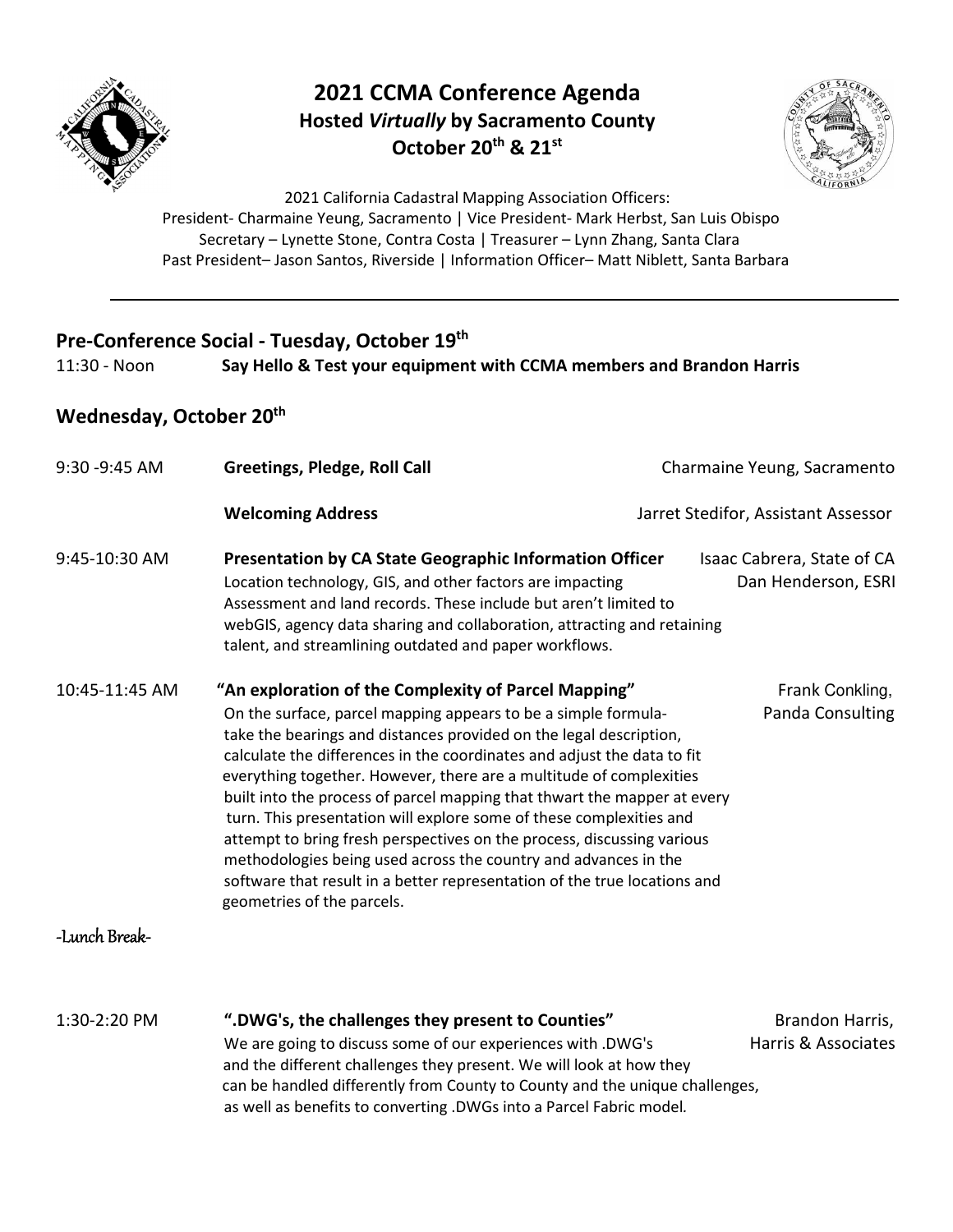

## **2021 CCMA Conference Agenda Hosted** *Virtually* **by Sacramento County October 20th & 21st**



2021 California Cadastral Mapping Association Officers: President- Charmaine Yeung, Sacramento | Vice President- Mark Herbst, San Luis Obispo Secretary – Lynette Stone, Contra Costa | Treasurer – Lynn Zhang, Santa Clara Past President- Jason Santos, Riverside | Information Officer- Matt Niblett, Santa Barbara

#### **Pre-Conference Social - Tuesday, October 19th**

11:30 - Noon **Say Hello & Test your equipment with CCMA members and Brandon Harris**

### **Wednesday, October 20th**

| 9:30 - 9:45 AM | <b>Greetings, Pledge, Roll Call</b>                                                                                                                                                                                                                                                                                                                                                                                                                                                                                                                                                                                                                                                                                                                       | Charmaine Yeung, Sacramento                       |
|----------------|-----------------------------------------------------------------------------------------------------------------------------------------------------------------------------------------------------------------------------------------------------------------------------------------------------------------------------------------------------------------------------------------------------------------------------------------------------------------------------------------------------------------------------------------------------------------------------------------------------------------------------------------------------------------------------------------------------------------------------------------------------------|---------------------------------------------------|
|                | <b>Welcoming Address</b>                                                                                                                                                                                                                                                                                                                                                                                                                                                                                                                                                                                                                                                                                                                                  | Jarret Stedifor, Assistant Assessor               |
| 9:45-10:30 AM  | <b>Presentation by CA State Geographic Information Officer</b><br>Location technology, GIS, and other factors are impacting<br>Assessment and land records. These include but aren't limited to<br>webGIS, agency data sharing and collaboration, attracting and retaining<br>talent, and streamlining outdated and paper workflows.                                                                                                                                                                                                                                                                                                                                                                                                                      | Isaac Cabrera, State of CA<br>Dan Henderson, ESRI |
| 10:45-11:45 AM | "An exploration of the Complexity of Parcel Mapping"<br>On the surface, parcel mapping appears to be a simple formula-<br>take the bearings and distances provided on the legal description,<br>calculate the differences in the coordinates and adjust the data to fit<br>everything together. However, there are a multitude of complexities<br>built into the process of parcel mapping that thwart the mapper at every<br>turn. This presentation will explore some of these complexities and<br>attempt to bring fresh perspectives on the process, discussing various<br>methodologies being used across the country and advances in the<br>software that result in a better representation of the true locations and<br>geometries of the parcels. | Frank Conkling,<br>Panda Consulting               |
| -Lunch Break-  |                                                                                                                                                                                                                                                                                                                                                                                                                                                                                                                                                                                                                                                                                                                                                           |                                                   |
| 1:30-2:20 PM   | ".DWG's, the challenges they present to Counties"<br>We are going to discuss some of our experiences with .DWG's<br>and the different challenges they present. We will look at how they                                                                                                                                                                                                                                                                                                                                                                                                                                                                                                                                                                   | Brandon Harris,<br>Harris & Associates            |

 can be handled differently from County to County and the unique challenges, as well as benefits to converting .DWGs into a Parcel Fabric model*.*